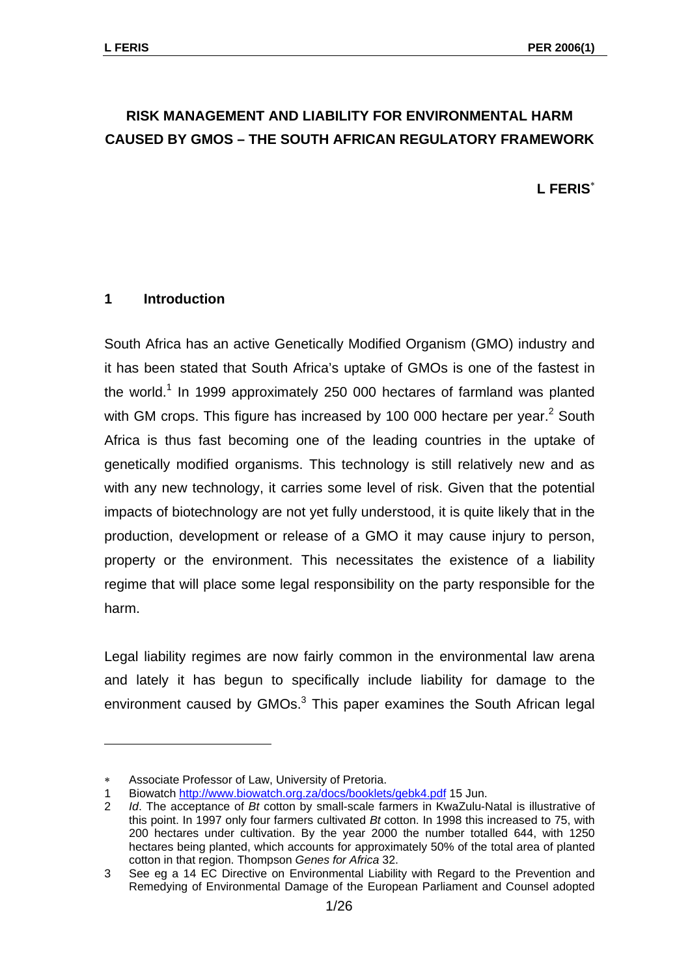## **RISK MANAGEMENT AND LIABILITY FOR ENVIRONMENTAL HARM CAUSED BY GMOS – THE SOUTH AFRICAN REGULATORY FRAMEWORK**

**L FERIS**[∗](#page-0-0)

### **1 Introduction**

South Africa has an active Genetically Modified Organism (GMO) industry and it has been stated that South Africa's uptake of GMOs is one of the fastest in the world.<sup>[1](#page-0-1)</sup> In 1999 approximately 250 000 hectares of farmland was planted withGM crops. This figure has increased by 100 000 hectare per year.<sup>2</sup> South Africa is thus fast becoming one of the leading countries in the uptake of genetically modified organisms. This technology is still relatively new and as with any new technology, it carries some level of risk. Given that the potential impacts of biotechnology are not yet fully understood, it is quite likely that in the production, development or release of a GMO it may cause injury to person, property or the environment. This necessitates the existence of a liability regime that will place some legal responsibility on the party responsible for the harm.

Legal liability regimes are now fairly common in the environmental law arena and lately it has begun to specifically include liability for damage to the environment caused by GMOs.<sup>[3](#page-0-3)</sup> This paper examines the South African legal

<span id="page-0-0"></span>Associate Professor of Law, University of Pretoria.

<span id="page-0-1"></span><sup>1</sup> Biowatch <http://www.biowatch.org.za/docs/booklets/gebk4.pdf>15 Jun.

<span id="page-0-2"></span><sup>2</sup> *Id*. The acceptance of *Bt* cotton by small-scale farmers in KwaZulu-Natal is illustrative of this point. In 1997 only four farmers cultivated *Bt* cotton. In 1998 this increased to 75, with 200 hectares under cultivation. By the year 2000 the number totalled 644, with 1250 hectares being planted, which accounts for approximately 50% of the total area of planted cotton in that region. Thompson *Genes for Africa* 32.

<span id="page-0-3"></span><sup>3</sup> See eg a 14 EC Directive on Environmental Liability with Regard to the Prevention and Remedying of Environmental Damage of the European Parliament and Counsel adopted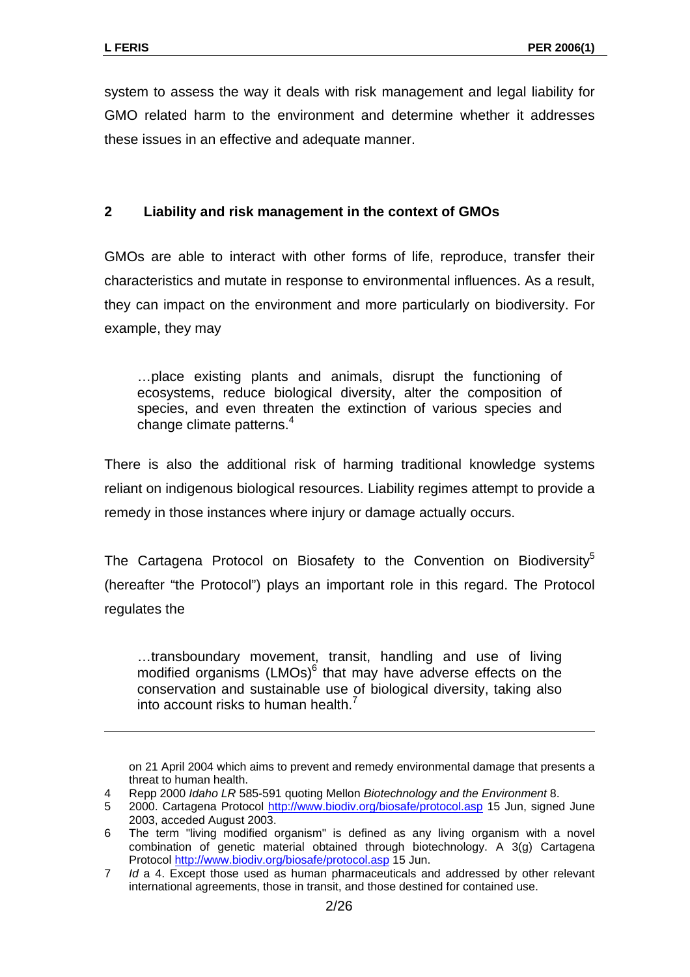$\overline{a}$ 

system to assess the way it deals with risk management and legal liability for GMO related harm to the environment and determine whether it addresses these issues in an effective and adequate manner.

## **2 Liability and risk management in the context of GMOs**

GMOs are able to interact with other forms of life, reproduce, transfer their characteristics and mutate in response to environmental influences. As a result, they can impact on the environment and more particularly on biodiversity. For example, they may

…place existing plants and animals, disrupt the functioning of ecosystems, reduce biological diversity, alter the composition of species, and even threaten the extinction of various species and change climate patterns.<sup>[4](#page-1-0)</sup>

There is also the additional risk of harming traditional knowledge systems reliant on indigenous biological resources. Liability regimes attempt to provide a remedy in those instances where injury or damage actually occurs.

The Cartagena Protocol on Biosafety to the Convention on Biodiversity<sup>5</sup> (hereafter "the Protocol") plays an important role in this regard. The Protocol regulates the

…transboundary movement, transit, handling and use of living modifiedorganisms  $(LMOs)^6$  that may have adverse effects on the conservation and sustainable use of biological diversity, taking also into account risks to human health.<sup>[7](#page-1-3)</sup>

on 21 April 2004 which aims to prevent and remedy environmental damage that presents a threat to human health.

<span id="page-1-0"></span><sup>4</sup> Repp 2000 *Idaho LR* 585-591 quoting Mellon *Biotechnology and the Environment* 8.

<span id="page-1-1"></span><sup>5 2000.</sup> Cartagena Protocol <http://www.biodiv.org/biosafe/protocol.asp> 15 Jun, signed June 2003, acceded August 2003.

<span id="page-1-2"></span><sup>6</sup> The term "living modified organism" is defined as any living organism with a novel combination of genetic material obtained through biotechnology. A 3(g) Cartagena Protocol <http://www.biodiv.org/biosafe/protocol.asp>15 Jun.

<span id="page-1-3"></span><sup>7</sup> *Id* a 4. Except those used as human pharmaceuticals and addressed by other relevant international agreements, those in transit, and those destined for contained use.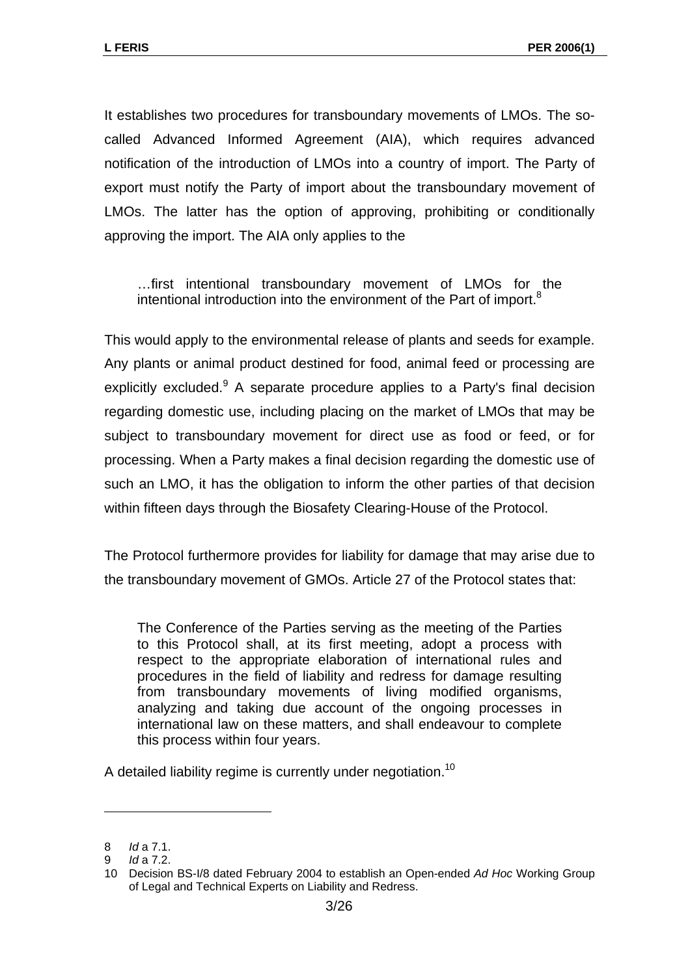It establishes two procedures for transboundary movements of LMOs. The socalled Advanced Informed Agreement (AIA), which requires advanced notification of the introduction of LMOs into a country of import. The Party of export must notify the Party of import about the transboundary movement of LMOs. The latter has the option of approving, prohibiting or conditionally approving the import. The AIA only applies to the

…first intentional transboundary movement of LMOs for the intentional introduction into the environment of the Part of import. $8$ 

This would apply to the environmental release of plants and seeds for example. Any plants or animal product destined for food, animal feed or processing are explicitly excluded. A separate procedure applies to a Party's final decision regarding domestic use, including placing on the market of LMOs that may be subject to transboundary movement for direct use as food or feed, or for processing. When a Party makes a final decision regarding the domestic use of such an LMO, it has the obligation to inform the other parties of that decision within fifteen days through the Biosafety Clearing-House of the Protocol.

The Protocol furthermore provides for liability for damage that may arise due to the transboundary movement of GMOs. Article 27 of the Protocol states that:

The Conference of the Parties serving as the meeting of the Parties to this Protocol shall, at its first meeting, adopt a process with respect to the appropriate elaboration of international rules and procedures in the field of liability and redress for damage resulting from transboundary movements of living modified organisms, analyzing and taking due account of the ongoing processes in international law on these matters, and shall endeavour to complete this process within four years.

A detailed liability regime is currently under negotiation.<sup>[10](#page-2-2)</sup>

<span id="page-2-0"></span><sup>8</sup> *Id* a 7.1.

<span id="page-2-1"></span><sup>9</sup> *Id* a 7.2.

<span id="page-2-2"></span><sup>10</sup> Decision BS-I/8 dated February 2004 to establish an Open-ended *Ad Hoc* Working Group of Legal and Technical Experts on Liability and Redress.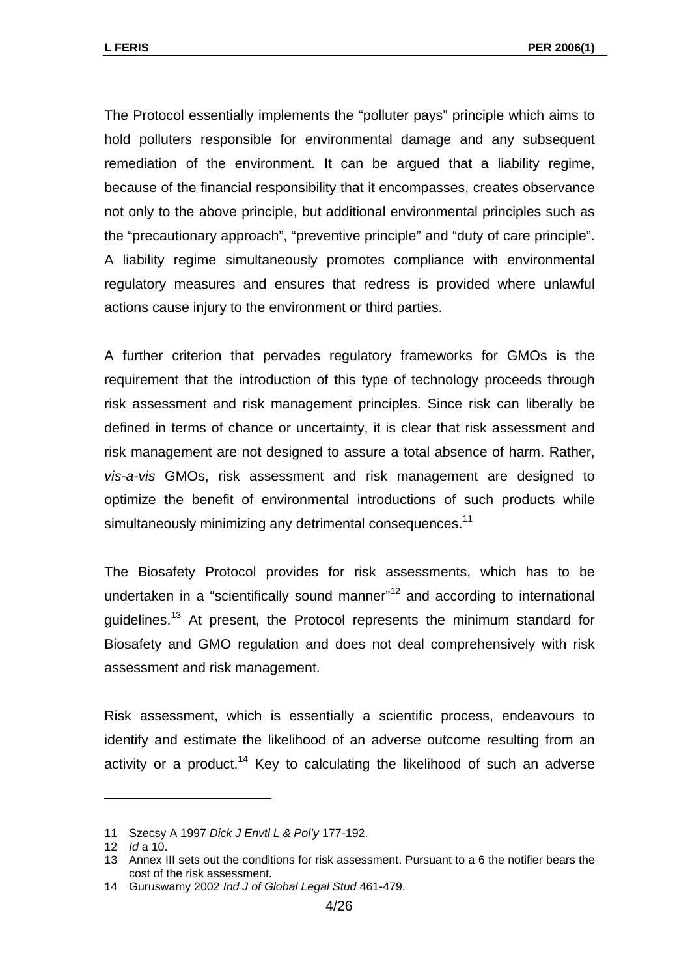The Protocol essentially implements the "polluter pays" principle which aims to hold polluters responsible for environmental damage and any subsequent remediation of the environment. It can be argued that a liability regime, because of the financial responsibility that it encompasses, creates observance not only to the above principle, but additional environmental principles such as the "precautionary approach", "preventive principle" and "duty of care principle". A liability regime simultaneously promotes compliance with environmental regulatory measures and ensures that redress is provided where unlawful actions cause injury to the environment or third parties.

A further criterion that pervades regulatory frameworks for GMOs is the requirement that the introduction of this type of technology proceeds through risk assessment and risk management principles. Since risk can liberally be defined in terms of chance or uncertainty, it is clear that risk assessment and risk management are not designed to assure a total absence of harm. Rather, *vis-a-vis* GMOs, risk assessment and risk management are designed to optimize the benefit of environmental introductions of such products while simultaneously minimizing any detrimental consequences.<sup>[11](#page-3-0)</sup>

The Biosafety Protocol provides for risk assessments, which has to be undertaken in a "scientifically sound manner"<sup>12</sup> and according to international guidelines.<sup>13</sup> At present, the Protocol represents the minimum standard for Biosafety and GMO regulation and does not deal comprehensively with risk assessment and risk management.

Risk assessment, which is essentially a scientific process, endeavours to identify and estimate the likelihood of an adverse outcome resulting from an activity or a product.<sup>14</sup> Key to calculating the likelihood of such an adverse

<span id="page-3-0"></span><sup>11</sup> Szecsy A 1997 *Dick J Envtl L & Pol'y* 177-192.

<span id="page-3-1"></span><sup>12</sup> *Id* a 10.

<span id="page-3-2"></span><sup>13</sup> Annex III sets out the conditions for risk assessment. Pursuant to a 6 the notifier bears the cost of the risk assessment.

<span id="page-3-3"></span><sup>14</sup> Guruswamy 2002 *Ind J of Global Legal Stud* 461-479.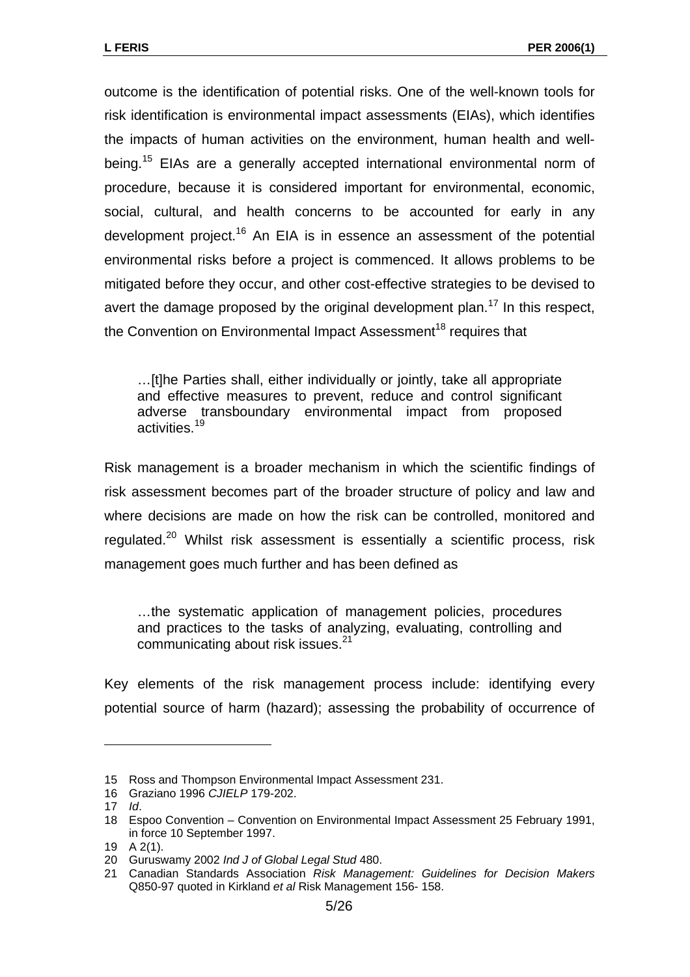outcome is the identification of potential risks. One of the well-known tools for risk identification is environmental impact assessments (EIAs), which identifies the impacts of human activities on the environment, human health and wellbeing.<sup>15</sup> EIAs are a generally accepted international environmental norm of procedure, because it is considered important for environmental, economic, social, cultural, and health concerns to be accounted for early in any development project.<sup>16</sup> An EIA is in essence an assessment of the potential environmental risks before a project is commenced. It allows problems to be mitigated before they occur, and other cost-effective strategies to be devised to avert the damage proposed by the original development plan.<sup>17</sup> In this respect. the Convention on Environmental Impact Assessment<sup>18</sup> requires that

…[t]he Parties shall, either individually or jointly, take all appropriate and effective measures to prevent, reduce and control significant adverse transboundary environmental impact from proposed activities.<sup>[19](#page-4-4)</sup>

Risk management is a broader mechanism in which the scientific findings of risk assessment becomes part of the broader structure of policy and law and where decisions are made on how the risk can be controlled, monitored and regulated.<sup>20</sup> Whilst risk assessment is essentially a scientific process, risk management goes much further and has been defined as

…the systematic application of management policies, procedures and practices to the tasks of analyzing, evaluating, controlling and communicating about risk issues.<sup>21</sup>

Key elements of the risk management process include: identifying every potential source of harm (hazard); assessing the probability of occurrence of

<span id="page-4-0"></span><sup>15</sup> Ross and Thompson Environmental Impact Assessment 231.

<span id="page-4-1"></span><sup>16</sup> Graziano 1996 *CJIELP* 179-202.

<span id="page-4-2"></span><sup>17</sup> *Id*.

<span id="page-4-3"></span><sup>18</sup> Espoo Convention – Convention on Environmental Impact Assessment 25 February 1991, in force 10 September 1997.

<span id="page-4-4"></span><sup>19</sup> A 2(1).

<span id="page-4-5"></span><sup>20</sup> Guruswamy 2002 *Ind J of Global Legal Stud* 480.

<span id="page-4-6"></span><sup>21</sup> Canadian Standards Association *Risk Management: Guidelines for Decision Makers*  Q850-97 quoted in Kirkland *et al* Risk Management 156- 158.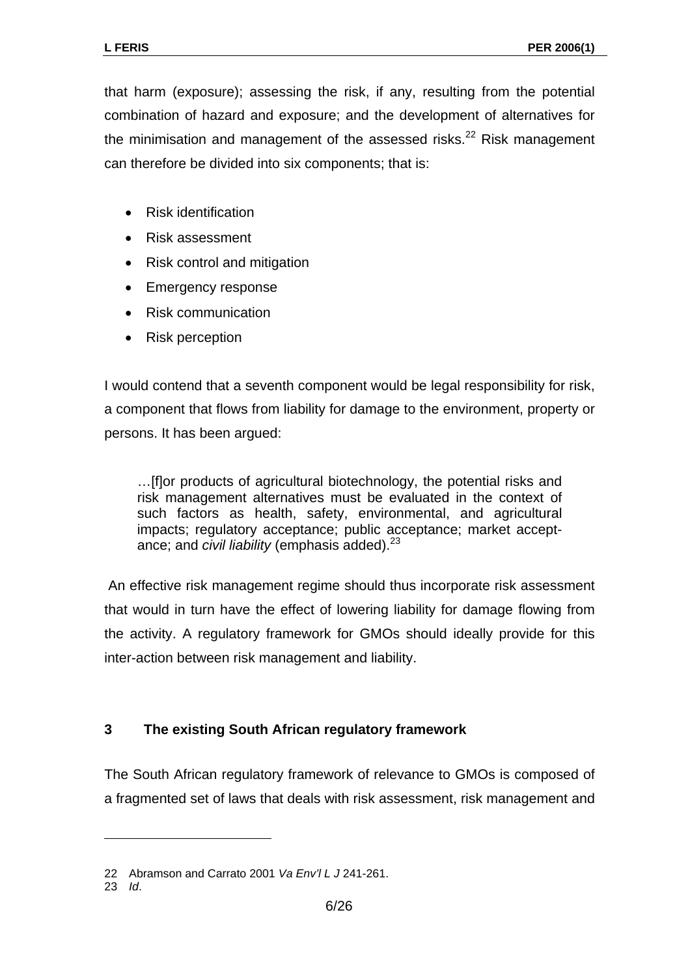that harm (exposure); assessing the risk, if any, resulting from the potential combination of hazard and exposure; and the development of alternatives for the minimisation and management of the assessed risks. $22$  Risk management can therefore be divided into six components; that is:

- Risk identification
- Risk assessment
- Risk control and mitigation
- Emergency response
- Risk communication
- Risk perception

I would contend that a seventh component would be legal responsibility for risk, a component that flows from liability for damage to the environment, property or persons. It has been argued:

…[f]or products of agricultural biotechnology, the potential risks and risk management alternatives must be evaluated in the context of such factors as health, safety, environmental, and agricultural impacts; regulatory acceptance; public acceptance; market acceptance; and *civil liability* (emphasis added).<sup>[23](#page-5-1)</sup>

An effective risk management regime should thus incorporate risk assessment that would in turn have the effect of lowering liability for damage flowing from the activity. A regulatory framework for GMOs should ideally provide for this inter-action between risk management and liability.

#### **3 The existing South African regulatory framework**

The South African regulatory framework of relevance to GMOs is composed of a fragmented set of laws that deals with risk assessment, risk management and

<span id="page-5-0"></span><sup>22</sup> Abramson and Carrato 2001 *Va Env'l L J* 241-261.

<span id="page-5-1"></span><sup>23</sup> *Id*.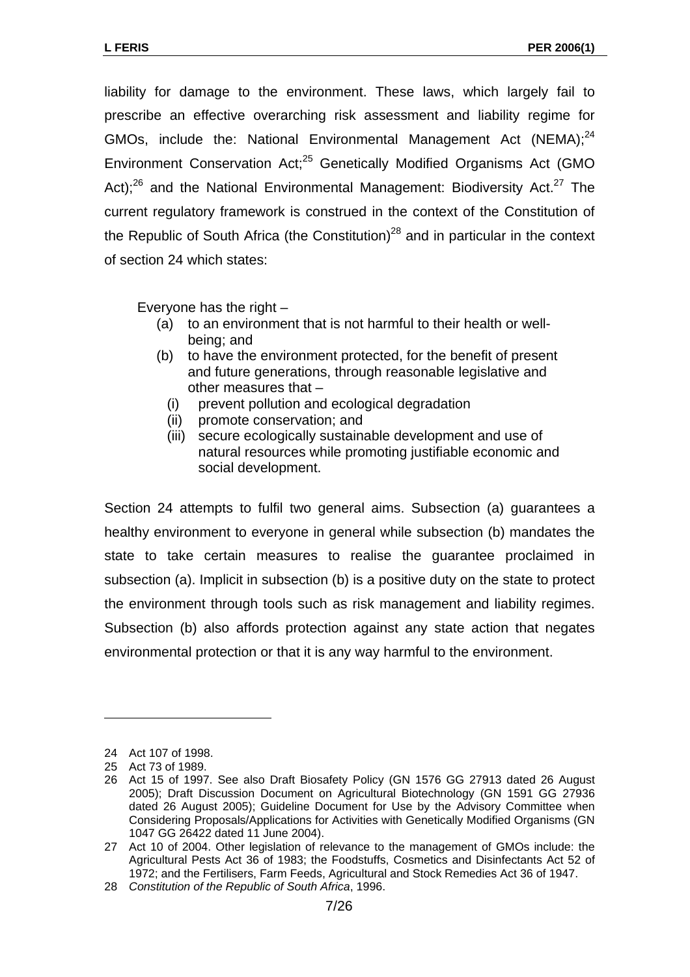liability for damage to the environment. These laws, which largely fail to prescribe an effective overarching risk assessment and liability regime for GMOs, include the: National Environmental Management Act (NEMA):<sup>[24](#page-6-0)</sup> Environment Conservation Act;<sup>25</sup> Genetically Modified Organisms Act (GMO Act): $26$  and the National Environmental Management: Biodiversity Act. $27$  The current regulatory framework is construed in the context of the Constitution of the Republic of South Africa (the Constitution)<sup>28</sup> and in particular in the context of section 24 which states:

Everyone has the right –

- (a) to an environment that is not harmful to their health or wellbeing; and
- (b) to have the environment protected, for the benefit of present and future generations, through reasonable legislative and other measures that –
	- (i) prevent pollution and ecological degradation
	- (ii) promote conservation; and
	- (iii) secure ecologically sustainable development and use of natural resources while promoting justifiable economic and social development.

Section 24 attempts to fulfil two general aims. Subsection (a) guarantees a healthy environment to everyone in general while subsection (b) mandates the state to take certain measures to realise the guarantee proclaimed in subsection (a). Implicit in subsection (b) is a positive duty on the state to protect the environment through tools such as risk management and liability regimes. Subsection (b) also affords protection against any state action that negates environmental protection or that it is any way harmful to the environment.

<span id="page-6-0"></span><sup>24</sup> Act 107 of 1998.

<span id="page-6-1"></span><sup>25</sup> Act 73 of 1989.

<span id="page-6-2"></span><sup>26</sup> Act 15 of 1997. See also Draft Biosafety Policy (GN 1576 GG 27913 dated 26 August 2005); Draft Discussion Document on Agricultural Biotechnology (GN 1591 GG 27936 dated 26 August 2005); Guideline Document for Use by the Advisory Committee when Considering Proposals/Applications for Activities with Genetically Modified Organisms (GN 1047 GG 26422 dated 11 June 2004).

<span id="page-6-3"></span><sup>27</sup> Act 10 of 2004. Other legislation of relevance to the management of GMOs include: the Agricultural Pests Act 36 of 1983; the Foodstuffs, Cosmetics and Disinfectants Act 52 of 1972; and the Fertilisers, Farm Feeds, Agricultural and Stock Remedies Act 36 of 1947.

<span id="page-6-4"></span><sup>28</sup> *Constitution of the Republic of South Africa*, 1996.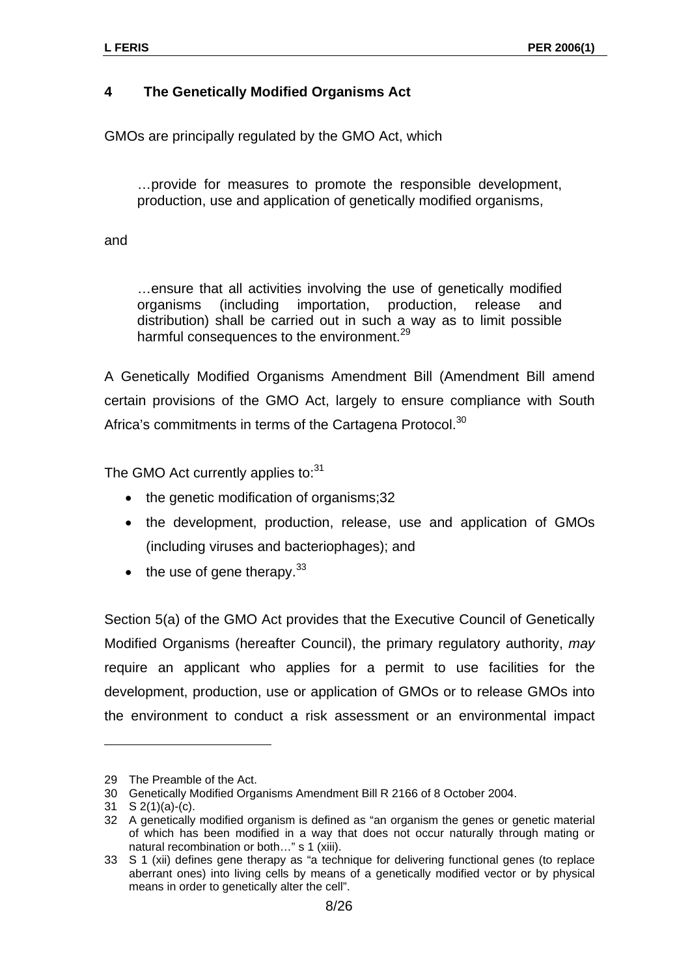## **4 The Genetically Modified Organisms Act**

GMOs are principally regulated by the GMO Act, which

…provide for measures to promote the responsible development, production, use and application of genetically modified organisms,

and

…ensure that all activities involving the use of genetically modified organisms (including importation, production, release and distribution) shall be carried out in such a way as to limit possible harmful consequences to the environment.<sup>[29](#page-7-0)</sup>

A Genetically Modified Organisms Amendment Bill (Amendment Bill amend certain provisions of the GMO Act, largely to ensure compliance with South Africa's commitments in terms of the Cartagena Protocol.<sup>[30](#page-7-1)</sup>

The GMO Act currently applies to:<sup>[31](#page-7-2)</sup>

- the genetic modification of organisms;32
- the development, production, release, use and application of GMOs (including viruses and bacteriophages); and
- $\bullet$  the use of gene therapy.<sup>[33](#page-7-4)</sup>

Section 5(a) of the GMO Act provides that the Executive Council of Genetically Modified Organisms (hereafter Council), the primary regulatory authority, *may* require an applicant who applies for a permit to use facilities for the development, production, use or application of GMOs or to release GMOs into the environment to conduct a risk assessment or an environmental impact

<span id="page-7-0"></span><sup>29</sup> The Preamble of the Act.

<span id="page-7-1"></span><sup>30</sup> Genetically Modified Organisms Amendment Bill R 2166 of 8 October 2004.

<span id="page-7-2"></span><sup>31</sup> S 2(1)(a)-(c).

<span id="page-7-3"></span><sup>32</sup> A genetically modified organism is defined as "an organism the genes or genetic material of which has been modified in a way that does not occur naturally through mating or natural recombination or both…" s 1 (xiii).

<span id="page-7-4"></span><sup>33</sup> S 1 (xii) defines gene therapy as "a technique for delivering functional genes (to replace aberrant ones) into living cells by means of a genetically modified vector or by physical means in order to genetically alter the cell".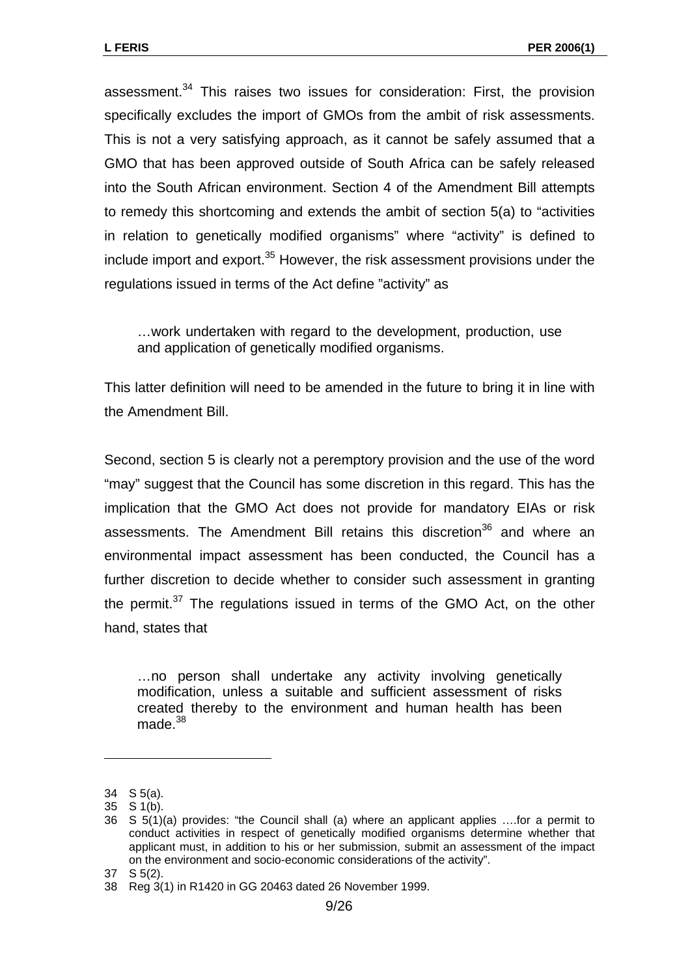assessment.<sup>34</sup> This raises two issues for consideration: First, the provision specifically excludes the import of GMOs from the ambit of risk assessments. This is not a very satisfying approach, as it cannot be safely assumed that a GMO that has been approved outside of South Africa can be safely released into the South African environment. Section 4 of the Amendment Bill attempts to remedy this shortcoming and extends the ambit of section 5(a) to "activities in relation to genetically modified organisms" where "activity" is defined to include import and export. $35$  However, the risk assessment provisions under the regulations issued in terms of the Act define "activity" as

…work undertaken with regard to the development, production, use and application of genetically modified organisms.

This latter definition will need to be amended in the future to bring it in line with the Amendment Bill.

Second, section 5 is clearly not a peremptory provision and the use of the word "may" suggest that the Council has some discretion in this regard. This has the implication that the GMO Act does not provide for mandatory EIAs or risk assessments. The Amendment Bill retains this discretion<sup>36</sup> and where an environmental impact assessment has been conducted, the Council has a further discretion to decide whether to consider such assessment in granting the permit. $37$  The regulations issued in terms of the GMO Act, on the other hand, states that

…no person shall undertake any activity involving genetically modification, unless a suitable and sufficient assessment of risks created thereby to the environment and human health has been made.[38](#page-8-4) 

<span id="page-8-0"></span><sup>34</sup> S 5(a).

<span id="page-8-1"></span><sup>35</sup> S 1(b).

<span id="page-8-2"></span><sup>36</sup> S 5(1)(a) provides: "the Council shall (a) where an applicant applies ….for a permit to conduct activities in respect of genetically modified organisms determine whether that applicant must, in addition to his or her submission, submit an assessment of the impact on the environment and socio-economic considerations of the activity".

<span id="page-8-3"></span><sup>37</sup> S 5(2).

<span id="page-8-4"></span><sup>38</sup> Reg 3(1) in R1420 in GG 20463 dated 26 November 1999.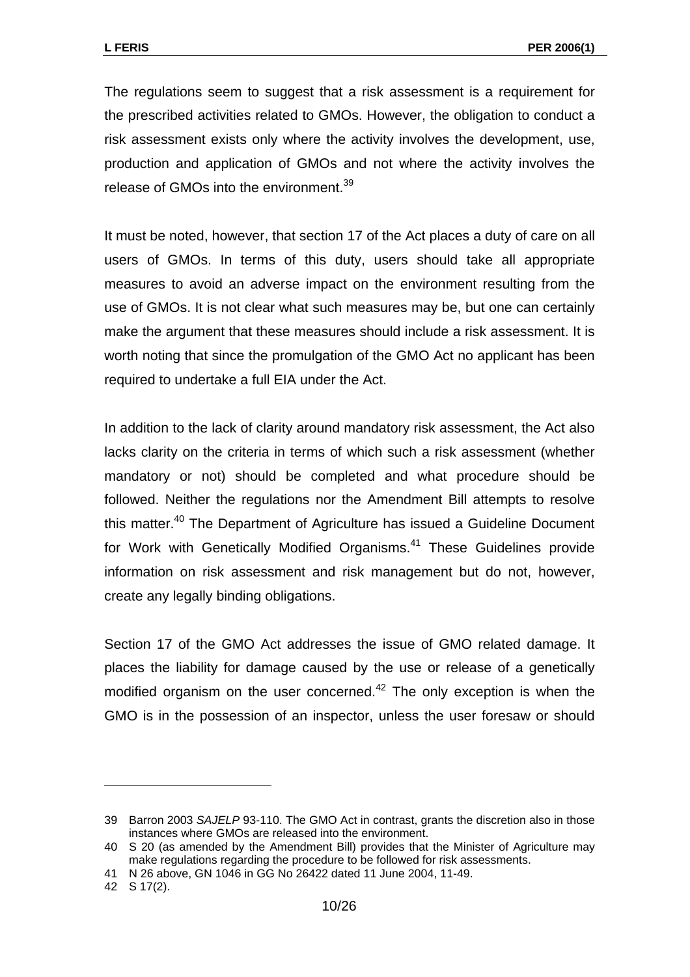The regulations seem to suggest that a risk assessment is a requirement for the prescribed activities related to GMOs. However, the obligation to conduct a risk assessment exists only where the activity involves the development, use, production and application of GMOs and not where the activity involves the release of GMOs into the environment.<sup>39</sup>

It must be noted, however, that section 17 of the Act places a duty of care on all users of GMOs. In terms of this duty, users should take all appropriate measures to avoid an adverse impact on the environment resulting from the use of GMOs. It is not clear what such measures may be, but one can certainly make the argument that these measures should include a risk assessment. It is worth noting that since the promulgation of the GMO Act no applicant has been required to undertake a full EIA under the Act.

In addition to the lack of clarity around mandatory risk assessment, the Act also lacks clarity on the criteria in terms of which such a risk assessment (whether mandatory or not) should be completed and what procedure should be followed. Neither the regulations nor the Amendment Bill attempts to resolve this matter.<sup>40</sup> The Department of Agriculture has issued a Guideline Document for Work with Genetically Modified Organisms.<sup>41</sup> These Guidelines provide information on risk assessment and risk management but do not, however, create any legally binding obligations.

Section 17 of the GMO Act addresses the issue of GMO related damage. It places the liability for damage caused by the use or release of a genetically modified organism on the user concerned.<sup>42</sup> The only exception is when the GMO is in the possession of an inspector, unless the user foresaw or should

<span id="page-9-0"></span><sup>39</sup> Barron 2003 *SAJELP* 93-110. The GMO Act in contrast, grants the discretion also in those instances where GMOs are released into the environment.

<span id="page-9-1"></span><sup>40</sup> S 20 (as amended by the Amendment Bill) provides that the Minister of Agriculture may make regulations regarding the procedure to be followed for risk assessments.

<span id="page-9-2"></span><sup>41</sup> N 26 above, GN 1046 in GG No 26422 dated 11 June 2004, 11-49.

<span id="page-9-3"></span><sup>42</sup> S 17(2).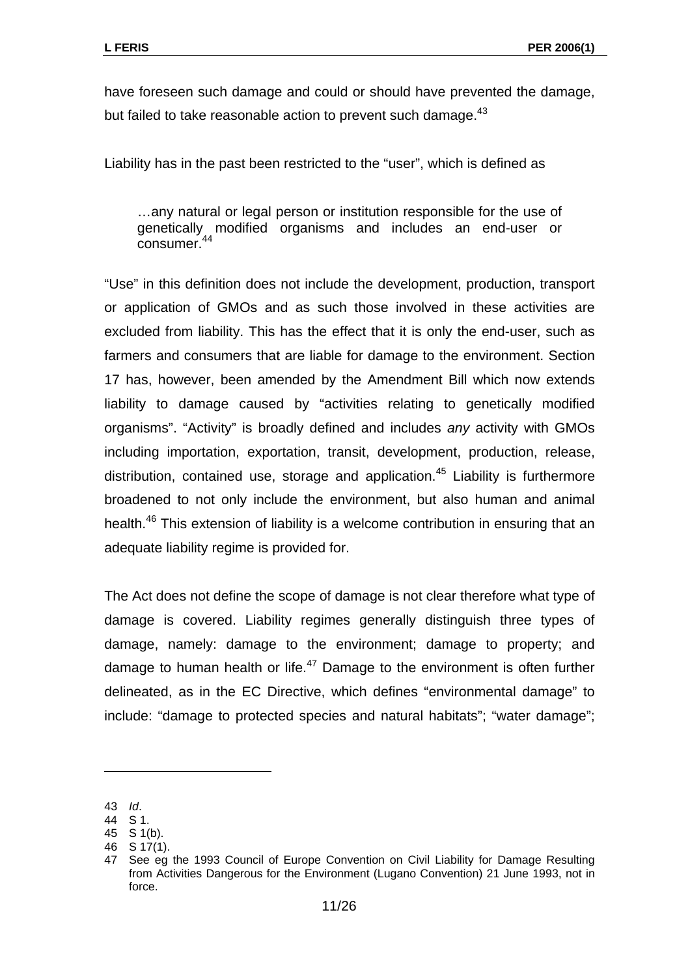have foreseen such damage and could or should have prevented the damage, but failed to take reasonable action to prevent such damage.<sup>43</sup>

Liability has in the past been restricted to the "user", which is defined as

…any natural or legal person or institution responsible for the use of genetically modified organisms and includes an end-user or consumer.<sup>44</sup>

"Use" in this definition does not include the development, production, transport or application of GMOs and as such those involved in these activities are excluded from liability. This has the effect that it is only the end-user, such as farmers and consumers that are liable for damage to the environment. Section 17 has, however, been amended by the Amendment Bill which now extends liability to damage caused by "activities relating to genetically modified organisms". "Activity" is broadly defined and includes *any* activity with GMOs including importation, exportation, transit, development, production, release, distribution, contained use, storage and application.<sup>45</sup> Liability is furthermore broadened to not only include the environment, but also human and animal health.<sup>46</sup> This extension of liability is a welcome contribution in ensuring that an adequate liability regime is provided for.

The Act does not define the scope of damage is not clear therefore what type of damage is covered. Liability regimes generally distinguish three types of damage, namely: damage to the environment; damage to property; and damage to human health or life. $47$  Damage to the environment is often further delineated, as in the EC Directive, which defines "environmental damage" to include: "damage to protected species and natural habitats"; "water damage";

<span id="page-10-0"></span><sup>43</sup> *Id*.

<span id="page-10-1"></span><sup>44</sup> S 1.

<span id="page-10-2"></span><sup>45</sup> S 1(b).

<span id="page-10-3"></span><sup>46</sup> S 17(1).

<span id="page-10-4"></span><sup>47</sup> See eg the 1993 Council of Europe Convention on Civil Liability for Damage Resulting from Activities Dangerous for the Environment (Lugano Convention) 21 June 1993, not in force.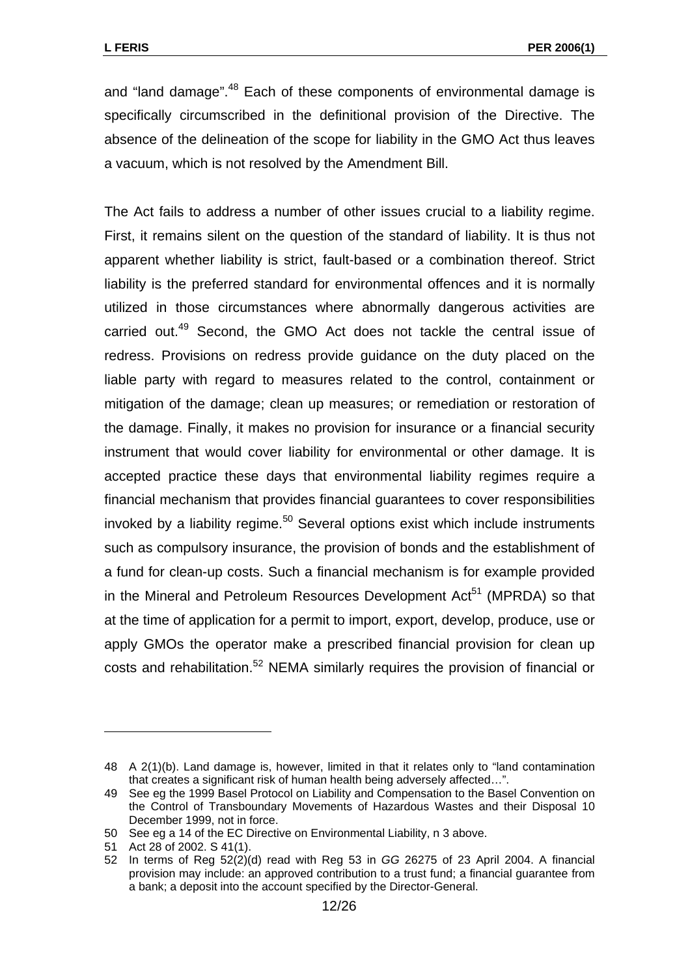and "land damage".<sup>48</sup> Each of these components of environmental damage is specifically circumscribed in the definitional provision of the Directive. The absence of the delineation of the scope for liability in the GMO Act thus leaves a vacuum, which is not resolved by the Amendment Bill.

The Act fails to address a number of other issues crucial to a liability regime. First, it remains silent on the question of the standard of liability. It is thus not apparent whether liability is strict, fault-based or a combination thereof. Strict liability is the preferred standard for environmental offences and it is normally utilized in those circumstances where abnormally dangerous activities are carried out.<sup>49</sup> Second, the GMO Act does not tackle the central issue of redress. Provisions on redress provide guidance on the duty placed on the liable party with regard to measures related to the control, containment or mitigation of the damage; clean up measures; or remediation or restoration of the damage. Finally, it makes no provision for insurance or a financial security instrument that would cover liability for environmental or other damage. It is accepted practice these days that environmental liability regimes require a financial mechanism that provides financial guarantees to cover responsibilities invoked by a liability regime. $50$  Several options exist which include instruments such as compulsory insurance, the provision of bonds and the establishment of a fund for clean-up costs. Such a financial mechanism is for example provided in the Mineral and Petroleum Resources Development  $Act<sup>51</sup>$  (MPRDA) so that at the time of application for a permit to import, export, develop, produce, use or apply GMOs the operator make a prescribed financial provision for clean up costs and rehabilitation.<sup>52</sup> NEMA similarly requires the provision of financial or

<span id="page-11-0"></span><sup>48</sup> A 2(1)(b). Land damage is, however, limited in that it relates only to "land contamination that creates a significant risk of human health being adversely affected…".

<span id="page-11-1"></span><sup>49</sup> See eg the 1999 Basel Protocol on Liability and Compensation to the Basel Convention on the Control of Transboundary Movements of Hazardous Wastes and their Disposal 10 December 1999, not in force.

<span id="page-11-2"></span><sup>50</sup> See eg a 14 of the EC Directive on Environmental Liability, n 3 above.

<span id="page-11-3"></span><sup>51</sup> Act 28 of 2002. S 41(1).

<span id="page-11-4"></span><sup>52</sup> In terms of Reg 52(2)(d) read with Reg 53 in *GG* 26275 of 23 April 2004. A financial provision may include: an approved contribution to a trust fund; a financial guarantee from a bank; a deposit into the account specified by the Director-General.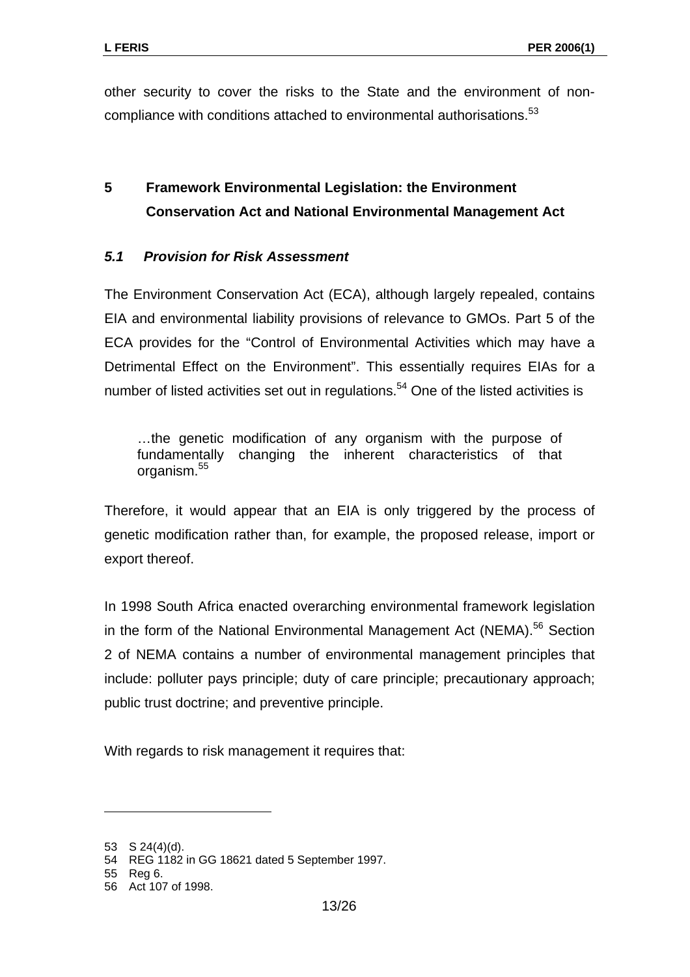other security to cover the risks to the State and the environment of non-compliance with conditions attached to environmental authorisations.<sup>[53](#page-12-0)</sup>

# **5 Framework Environmental Legislation: the Environment Conservation Act and National Environmental Management Act**

## *5.1 Provision for Risk Assessment*

The Environment Conservation Act (ECA), although largely repealed, contains EIA and environmental liability provisions of relevance to GMOs. Part 5 of the ECA provides for the "Control of Environmental Activities which may have a Detrimental Effect on the Environment". This essentially requires EIAs for a number of listed activities set out in regulations.<sup>54</sup> One of the listed activities is

…the genetic modification of any organism with the purpose of fundamentally changing the inherent characteristics of that organism.<sup>55</sup>

Therefore, it would appear that an EIA is only triggered by the process of genetic modification rather than, for example, the proposed release, import or export thereof.

In 1998 South Africa enacted overarching environmental framework legislation in the form of the National Environmental Management Act (NEMA).<sup>56</sup> Section 2 of NEMA contains a number of environmental management principles that include: polluter pays principle; duty of care principle; precautionary approach; public trust doctrine; and preventive principle.

With regards to risk management it requires that:

<span id="page-12-0"></span><sup>53</sup> S 24(4)(d).

<span id="page-12-1"></span><sup>54</sup> REG 1182 in GG 18621 dated 5 September 1997.

<span id="page-12-2"></span><sup>55</sup> Reg 6.

<span id="page-12-3"></span><sup>56</sup> Act 107 of 1998.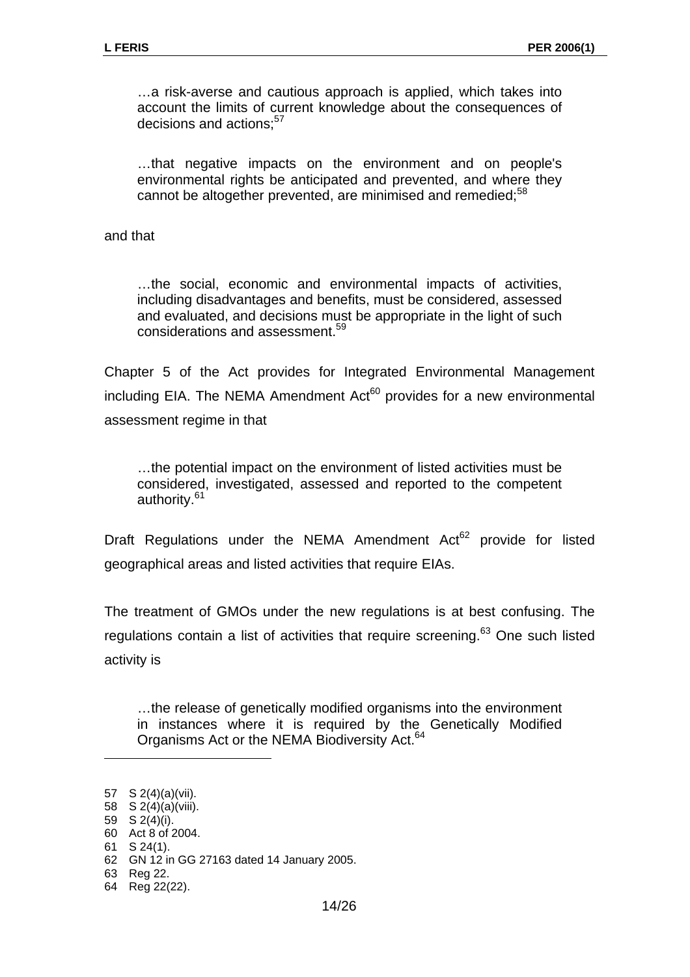…a risk-averse and cautious approach is applied, which takes into account the limits of current knowledge about the consequences of decisions and actions:<sup>[57](#page-13-0)</sup>

…that negative impacts on the environment and on people's environmental rights be anticipated and prevented, and where they cannot be altogether prevented, are minimised and remedied:<sup>58</sup>

and that

…the social, economic and environmental impacts of activities, including disadvantages and benefits, must be considered, assessed and evaluated, and decisions must be appropriate in the light of such considerations and assessment.[59](#page-13-2)

Chapter 5 of the Act provides for Integrated Environmental Management including EIA. The NEMA Amendment  $Act^{60}$  provides for a new environmental assessment regime in that

…the potential impact on the environment of listed activities must be considered, investigated, assessed and reported to the competent authority.<sup>[61](#page-13-4)</sup>

Draft Regulations under the NEMA Amendment Act<sup>62</sup> provide for listed geographical areas and listed activities that require EIAs.

The treatment of GMOs under the new regulations is at best confusing. The regulations contain a list of activities that require screening.<sup>63</sup> One such listed activity is

…the release of genetically modified organisms into the environment in instances where it is required by the Genetically Modified Organisms Act or the NEMA Biodiversity Act.<sup>64</sup>

<span id="page-13-0"></span><sup>57</sup> S 2(4)(a)(vii).

<span id="page-13-1"></span><sup>58</sup> S  $2(4)(a)(viii)$ .

<span id="page-13-2"></span><sup>59</sup> S  $2(4)(i)$ . 60 Act 8 of 2004.

<span id="page-13-4"></span><span id="page-13-3"></span><sup>61</sup> S 24(1).

<span id="page-13-5"></span><sup>62</sup> GN 12 in GG 27163 dated 14 January 2005.

<span id="page-13-6"></span><sup>63</sup> Reg 22.

<span id="page-13-7"></span><sup>64</sup> Reg 22(22).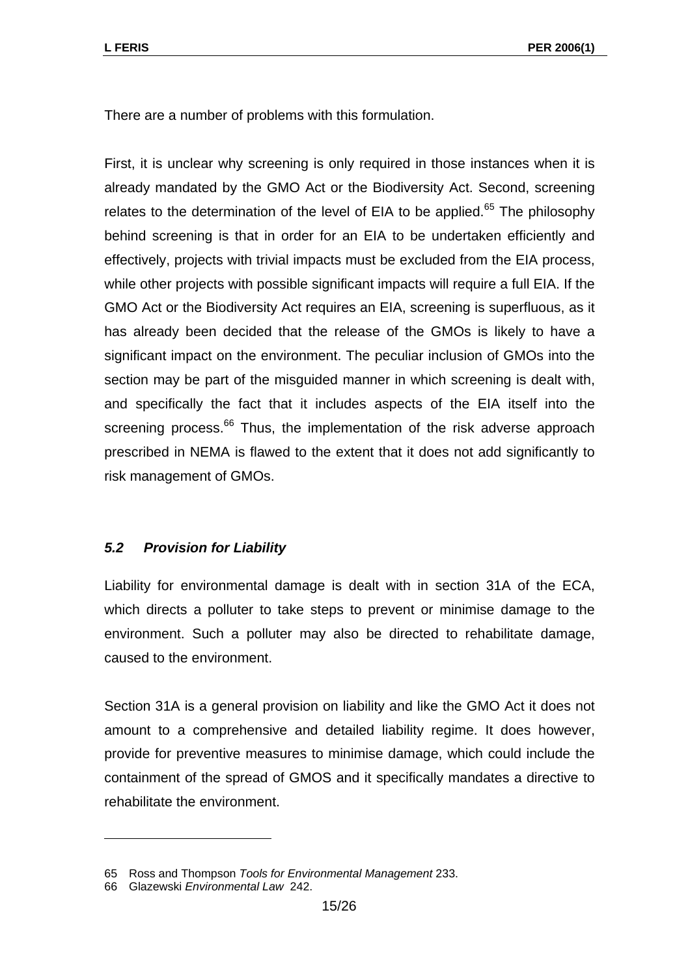There are a number of problems with this formulation.

First, it is unclear why screening is only required in those instances when it is already mandated by the GMO Act or the Biodiversity Act. Second, screening relates to the determination of the level of EIA to be applied.<sup>65</sup> The philosophy behind screening is that in order for an EIA to be undertaken efficiently and effectively, projects with trivial impacts must be excluded from the EIA process, while other projects with possible significant impacts will require a full EIA. If the GMO Act or the Biodiversity Act requires an EIA, screening is superfluous, as it has already been decided that the release of the GMOs is likely to have a significant impact on the environment. The peculiar inclusion of GMOs into the section may be part of the misguided manner in which screening is dealt with, and specifically the fact that it includes aspects of the EIA itself into the screening process.<sup>66</sup> Thus, the implementation of the risk adverse approach prescribed in NEMA is flawed to the extent that it does not add significantly to risk management of GMOs.

#### *5.2 Provision for Liability*

Liability for environmental damage is dealt with in section 31A of the ECA, which directs a polluter to take steps to prevent or minimise damage to the environment. Such a polluter may also be directed to rehabilitate damage, caused to the environment.

Section 31A is a general provision on liability and like the GMO Act it does not amount to a comprehensive and detailed liability regime. It does however, provide for preventive measures to minimise damage, which could include the containment of the spread of GMOS and it specifically mandates a directive to rehabilitate the environment.

<span id="page-14-0"></span><sup>65</sup> Ross and Thompson *Tools for Environmental Management* 233.

<span id="page-14-1"></span><sup>66</sup> Glazewski *Environmental Law* 242.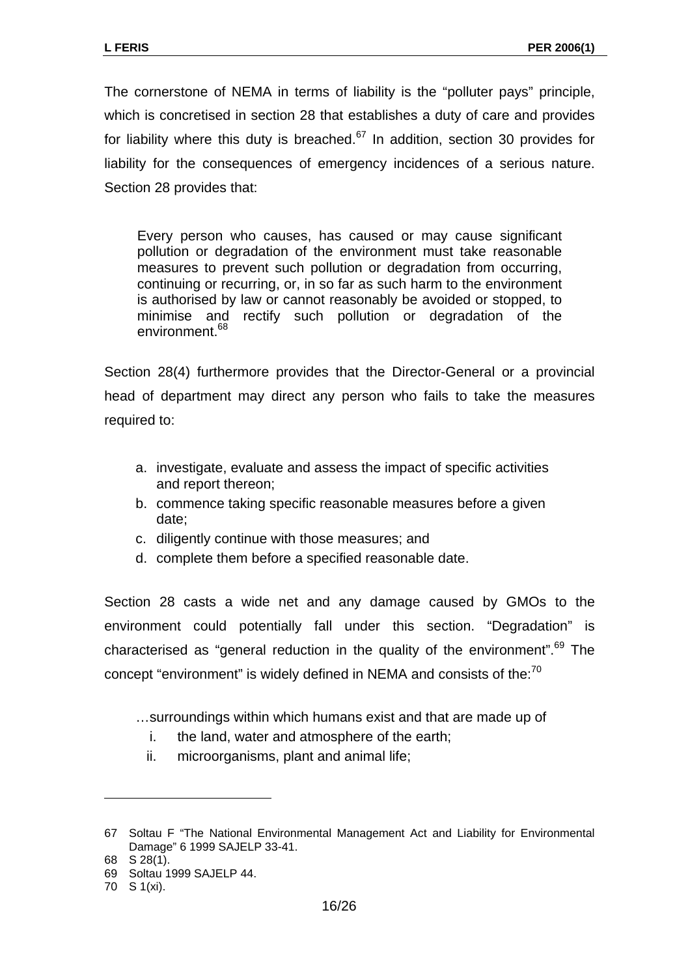The cornerstone of NEMA in terms of liability is the "polluter pays" principle, which is concretised in section 28 that establishes a duty of care and provides for liability where this duty is breached. $67$  In addition, section 30 provides for liability for the consequences of emergency incidences of a serious nature. Section 28 provides that:

Every person who causes, has caused or may cause significant pollution or degradation of the environment must take reasonable measures to prevent such pollution or degradation from occurring, continuing or recurring, or, in so far as such harm to the environment is authorised by law or cannot reasonably be avoided or stopped, to minimise and rectify such pollution or degradation of the environment.<sup>[68](#page-15-1)</sup>

Section 28(4) furthermore provides that the Director-General or a provincial head of department may direct any person who fails to take the measures required to:

- a. investigate, evaluate and assess the impact of specific activities and report thereon;
- b. commence taking specific reasonable measures before a given date;
- c. diligently continue with those measures; and
- d. complete them before a specified reasonable date.

Section 28 casts a wide net and any damage caused by GMOs to the environment could potentially fall under this section. "Degradation" is characterised as "general reduction in the quality of the environment".<sup>69</sup> The concept "environment" is widely defined in NEMA and consists of the:<sup>[70](#page-15-3)</sup>

- …surroundings within which humans exist and that are made up of
	- i. the land, water and atmosphere of the earth;
	- ii. microorganisms, plant and animal life;

<span id="page-15-0"></span><sup>67</sup> Soltau F "The National Environmental Management Act and Liability for Environmental Damage" 6 1999 SAJELP 33-41.

<span id="page-15-1"></span><sup>68</sup> S 28(1). 69 Soltau 1999 SAJELP 44.

<span id="page-15-3"></span><span id="page-15-2"></span><sup>70</sup> S 1(xi).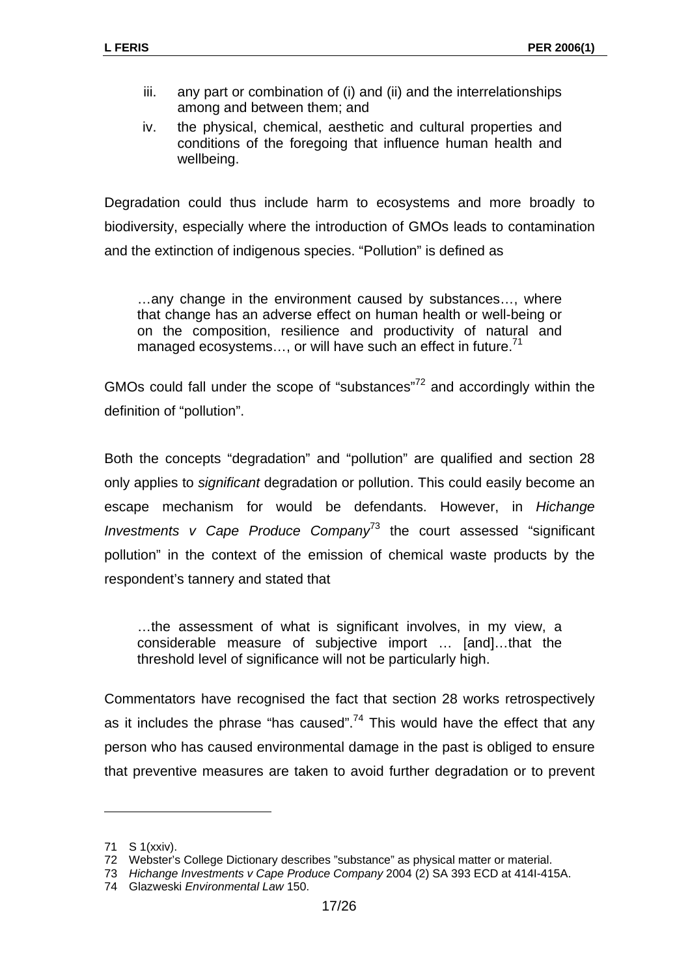- iii. any part or combination of (i) and (ii) and the interrelationships among and between them; and
- iv. the physical, chemical, aesthetic and cultural properties and conditions of the foregoing that influence human health and wellbeing.

Degradation could thus include harm to ecosystems and more broadly to biodiversity, especially where the introduction of GMOs leads to contamination and the extinction of indigenous species. "Pollution" is defined as

…any change in the environment caused by substances…, where that change has an adverse effect on human health or well-being or on the composition, resilience and productivity of natural and managed ecosystems..., or will have such an effect in future.<sup>71</sup>

GMOs could fall under the scope of "substances"<sup>72</sup> and accordingly within the definition of "pollution".

Both the concepts "degradation" and "pollution" are qualified and section 28 only applies to *significant* degradation or pollution. This could easily become an escape mechanism for would be defendants. However, in *Hichange Investments v Cape Produce Company*[73](#page-16-2) the court assessed "significant pollution" in the context of the emission of chemical waste products by the respondent's tannery and stated that

…the assessment of what is significant involves, in my view, a considerable measure of subjective import … [and]…that the threshold level of significance will not be particularly high.

Commentators have recognised the fact that section 28 works retrospectively as it includes the phrase "has caused".<sup>74</sup> This would have the effect that any person who has caused environmental damage in the past is obliged to ensure that preventive measures are taken to avoid further degradation or to prevent

<span id="page-16-0"></span><sup>71</sup> S 1(xxiv).

<span id="page-16-1"></span><sup>72</sup> Webster's College Dictionary describes "substance" as physical matter or material.

<span id="page-16-2"></span><sup>73</sup> *Hichange Investments v Cape Produce Company* 2004 (2) SA 393 ECD at 414I-415A.

<span id="page-16-3"></span><sup>74</sup> Glazweski *Environmental Law* 150.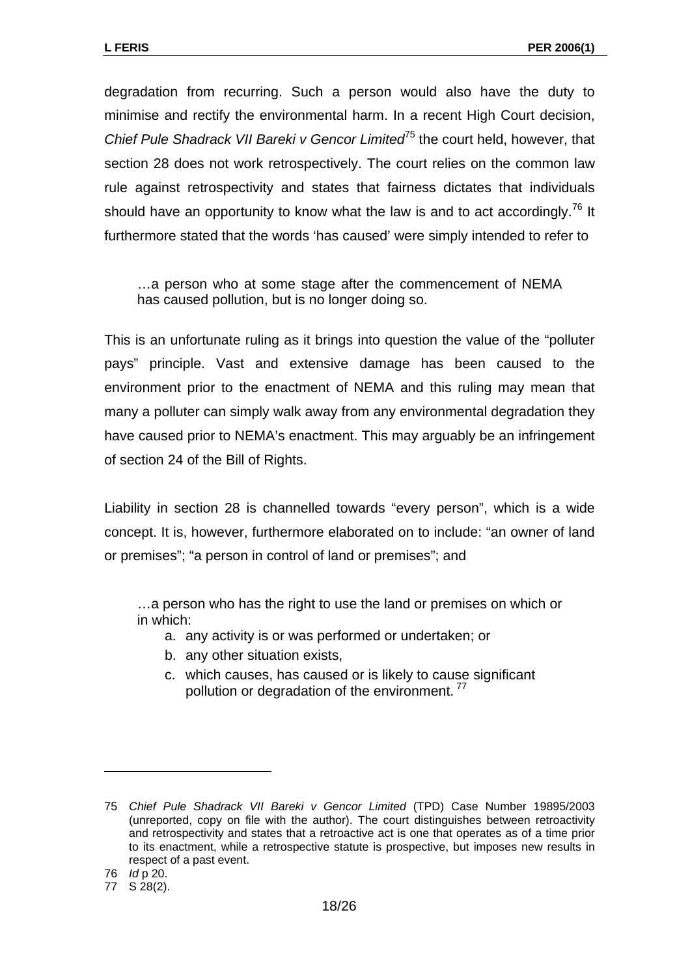degradation from recurring. Such a person would also have the duty to minimise and rectify the environmental harm. In a recent High Court decision, *Chief Pule Shadrack VII Bareki v Gencor Limited*[75 t](#page-17-0)he court held, however, that section 28 does not work retrospectively. The court relies on the common law rule against retrospectivity and states that fairness dictates that individuals should have an opportunity to know what the law is and to act accordingly.<sup>76</sup> It furthermore stated that the words 'has caused' were simply intended to refer to

…a person who at some stage after the commencement of NEMA has caused pollution, but is no longer doing so.

This is an unfortunate ruling as it brings into question the value of the "polluter pays" principle. Vast and extensive damage has been caused to the environment prior to the enactment of NEMA and this ruling may mean that many a polluter can simply walk away from any environmental degradation they have caused prior to NEMA's enactment. This may arguably be an infringement of section 24 of the Bill of Rights.

Liability in section 28 is channelled towards "every person", which is a wide concept. It is, however, furthermore elaborated on to include: "an owner of land or premises"; "a person in control of land or premises"; and

…a person who has the right to use the land or premises on which or in which:

- a. any activity is or was performed or undertaken; or
- b. any other situation exists,
- c. which causes, has caused or is likely to cause significant pollution or degradation of the environment.<sup>[77](#page-17-2)</sup>

<span id="page-17-0"></span><sup>75</sup> *Chief Pule Shadrack VII Bareki v Gencor Limited* (TPD) Case Number 19895/2003 (unreported, copy on file with the author). The court distinguishes between retroactivity and retrospectivity and states that a retroactive act is one that operates as of a time prior to its enactment, while a retrospective statute is prospective, but imposes new results in respect of a past event.

<span id="page-17-1"></span><sup>76</sup> *Id* p 20.

<span id="page-17-2"></span><sup>77</sup> S 28(2).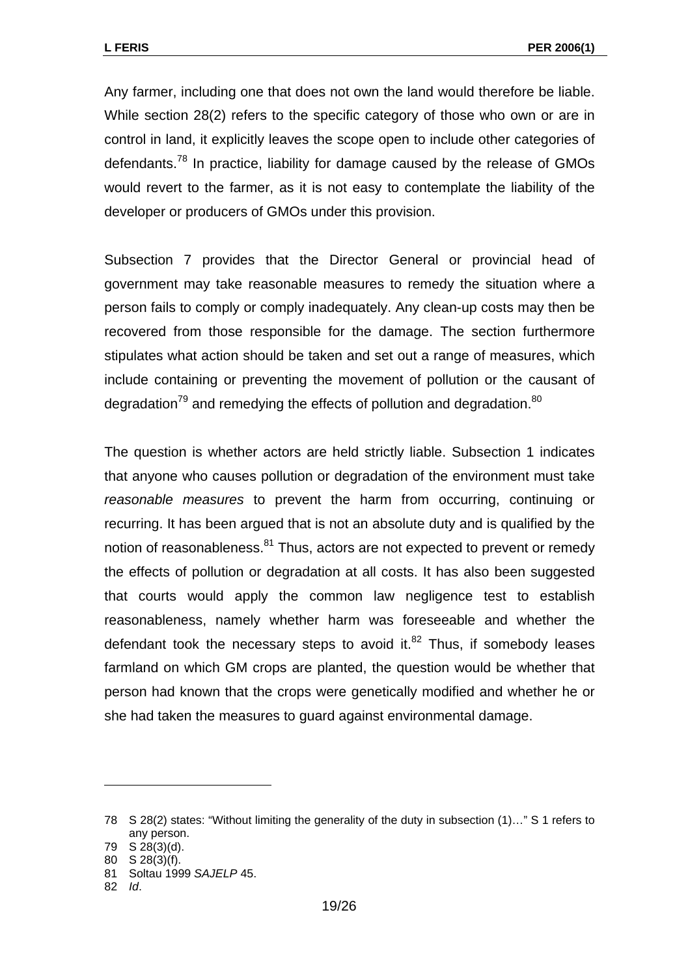Any farmer, including one that does not own the land would therefore be liable. While section 28(2) refers to the specific category of those who own or are in control in land, it explicitly leaves the scope open to include other categories of defendants.<sup>78</sup> In practice, liability for damage caused by the release of GMOs would revert to the farmer, as it is not easy to contemplate the liability of the developer or producers of GMOs under this provision.

Subsection 7 provides that the Director General or provincial head of government may take reasonable measures to remedy the situation where a person fails to comply or comply inadequately. Any clean-up costs may then be recovered from those responsible for the damage. The section furthermore stipulates what action should be taken and set out a range of measures, which include containing or preventing the movement of pollution or the causant of degradation $79$  and remedying the effects of pollution and degradation. $80$ 

The question is whether actors are held strictly liable. Subsection 1 indicates that anyone who causes pollution or degradation of the environment must take *reasonable measures* to prevent the harm from occurring, continuing or recurring. It has been argued that is not an absolute duty and is qualified by the notion of reasonableness.<sup>81</sup> Thus, actors are not expected to prevent or remedy the effects of pollution or degradation at all costs. It has also been suggested that courts would apply the common law negligence test to establish reasonableness, namely whether harm was foreseeable and whether the defendant took the necessary steps to avoid it. $^{82}$  Thus, if somebody leases farmland on which GM crops are planted, the question would be whether that person had known that the crops were genetically modified and whether he or she had taken the measures to guard against environmental damage.

<span id="page-18-0"></span><sup>78</sup> S 28(2) states: "Without limiting the generality of the duty in subsection (1)…" S 1 refers to any person.

<span id="page-18-1"></span><sup>79</sup> S 28(3)(d).

<span id="page-18-2"></span><sup>80</sup> S 28(3)(f).

<span id="page-18-3"></span><sup>81</sup> Soltau 1999 *SAJELP* 45.

<span id="page-18-4"></span><sup>82</sup> *Id*.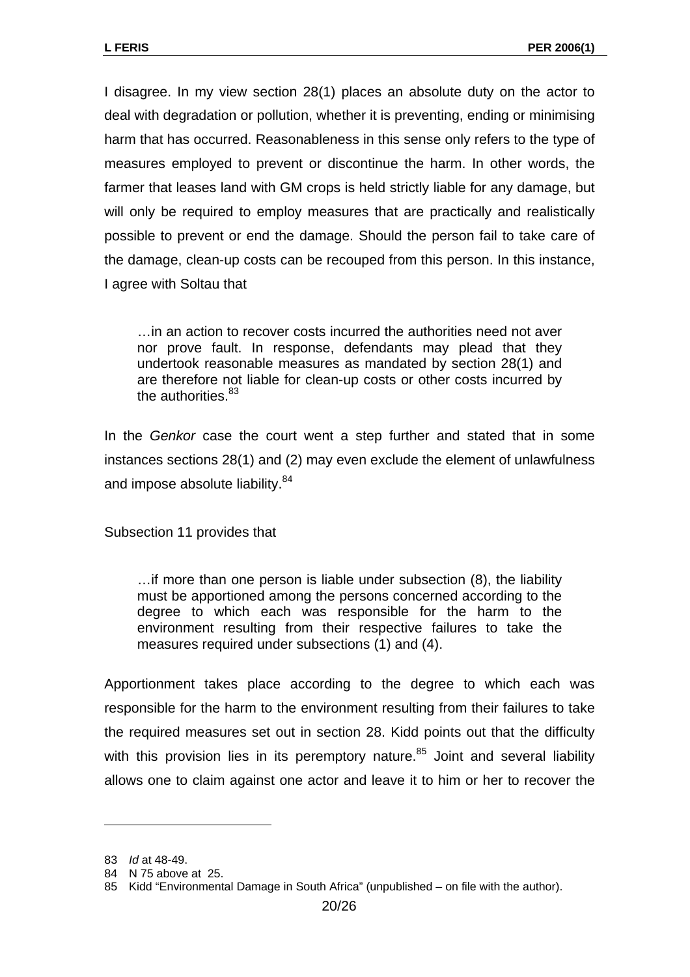I disagree. In my view section 28(1) places an absolute duty on the actor to deal with degradation or pollution, whether it is preventing, ending or minimising harm that has occurred. Reasonableness in this sense only refers to the type of measures employed to prevent or discontinue the harm. In other words, the farmer that leases land with GM crops is held strictly liable for any damage, but will only be required to employ measures that are practically and realistically possible to prevent or end the damage. Should the person fail to take care of the damage, clean-up costs can be recouped from this person. In this instance, I agree with Soltau that

…in an action to recover costs incurred the authorities need not aver nor prove fault. In response, defendants may plead that they undertook reasonable measures as mandated by section 28(1) and are therefore not liable for clean-up costs or other costs incurred by the authorities.<sup>[83](#page-19-0)</sup>

In the *Genkor* case the court went a step further and stated that in some instances sections 28(1) and (2) may even exclude the element of unlawfulness and impose absolute liability.<sup>[84](#page-19-1)</sup>

Subsection 11 provides that

…if more than one person is liable under subsection (8), the liability must be apportioned among the persons concerned according to the degree to which each was responsible for the harm to the environment resulting from their respective failures to take the measures required under subsections (1) and (4).

Apportionment takes place according to the degree to which each was responsible for the harm to the environment resulting from their failures to take the required measures set out in section 28. Kidd points out that the difficulty with this provision lies in its peremptory nature. $85$  Joint and several liability allows one to claim against one actor and leave it to him or her to recover the

<span id="page-19-0"></span><sup>83</sup> *Id* at 48-49.

<span id="page-19-1"></span><sup>84</sup> N 75 above at 25.

<span id="page-19-2"></span><sup>85</sup> Kidd "Environmental Damage in South Africa" (unpublished – on file with the author).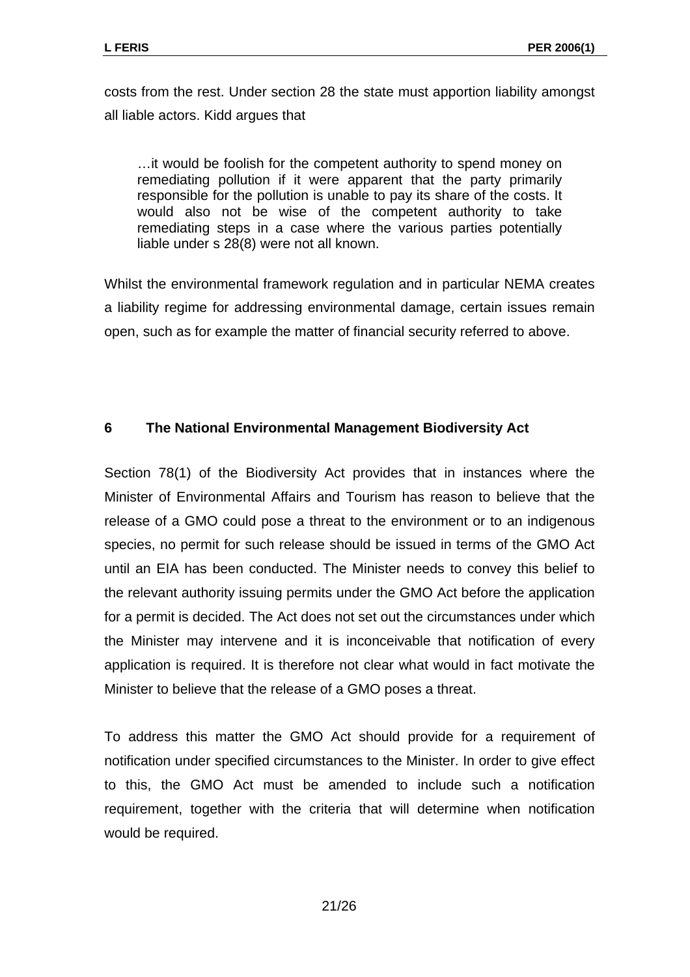costs from the rest. Under section 28 the state must apportion liability amongst all liable actors. Kidd argues that

…it would be foolish for the competent authority to spend money on remediating pollution if it were apparent that the party primarily responsible for the pollution is unable to pay its share of the costs. It would also not be wise of the competent authority to take remediating steps in a case where the various parties potentially liable under s 28(8) were not all known.

Whilst the environmental framework regulation and in particular NEMA creates a liability regime for addressing environmental damage, certain issues remain open, such as for example the matter of financial security referred to above.

## **6 The National Environmental Management Biodiversity Act**

Section 78(1) of the Biodiversity Act provides that in instances where the Minister of Environmental Affairs and Tourism has reason to believe that the release of a GMO could pose a threat to the environment or to an indigenous species, no permit for such release should be issued in terms of the GMO Act until an EIA has been conducted. The Minister needs to convey this belief to the relevant authority issuing permits under the GMO Act before the application for a permit is decided. The Act does not set out the circumstances under which the Minister may intervene and it is inconceivable that notification of every application is required. It is therefore not clear what would in fact motivate the Minister to believe that the release of a GMO poses a threat.

To address this matter the GMO Act should provide for a requirement of notification under specified circumstances to the Minister. In order to give effect to this, the GMO Act must be amended to include such a notification requirement, together with the criteria that will determine when notification would be required.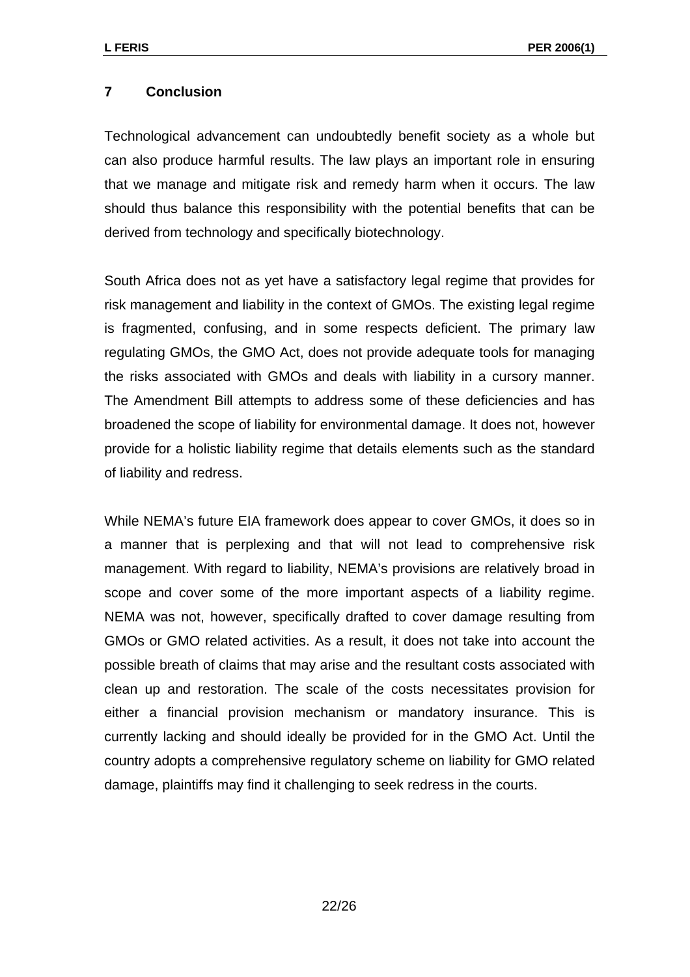#### **7 Conclusion**

Technological advancement can undoubtedly benefit society as a whole but can also produce harmful results. The law plays an important role in ensuring that we manage and mitigate risk and remedy harm when it occurs. The law should thus balance this responsibility with the potential benefits that can be derived from technology and specifically biotechnology.

South Africa does not as yet have a satisfactory legal regime that provides for risk management and liability in the context of GMOs. The existing legal regime is fragmented, confusing, and in some respects deficient. The primary law regulating GMOs, the GMO Act, does not provide adequate tools for managing the risks associated with GMOs and deals with liability in a cursory manner. The Amendment Bill attempts to address some of these deficiencies and has broadened the scope of liability for environmental damage. It does not, however provide for a holistic liability regime that details elements such as the standard of liability and redress.

While NEMA's future EIA framework does appear to cover GMOs, it does so in a manner that is perplexing and that will not lead to comprehensive risk management. With regard to liability, NEMA's provisions are relatively broad in scope and cover some of the more important aspects of a liability regime. NEMA was not, however, specifically drafted to cover damage resulting from GMOs or GMO related activities. As a result, it does not take into account the possible breath of claims that may arise and the resultant costs associated with clean up and restoration. The scale of the costs necessitates provision for either a financial provision mechanism or mandatory insurance. This is currently lacking and should ideally be provided for in the GMO Act. Until the country adopts a comprehensive regulatory scheme on liability for GMO related damage, plaintiffs may find it challenging to seek redress in the courts.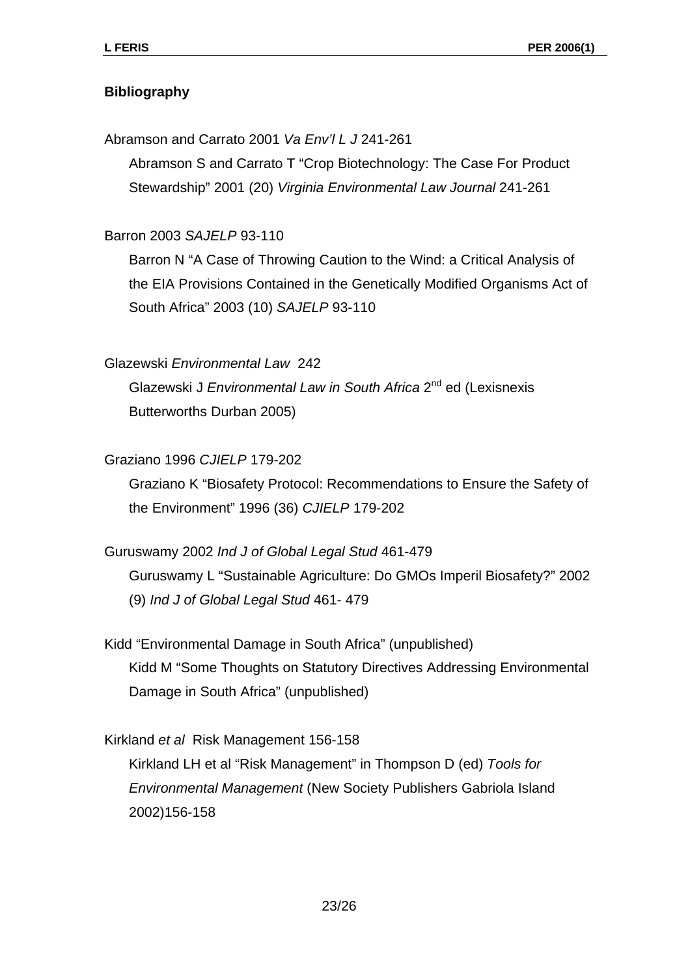## **Bibliography**

Abramson and Carrato 2001 *Va Env'l L J* 241-261

Abramson S and Carrato T "Crop Biotechnology: The Case For Product Stewardship" 2001 (20) *Virginia Environmental Law Journal* 241-261

Barron 2003 *SAJELP* 93-110

Barron N "A Case of Throwing Caution to the Wind: a Critical Analysis of the EIA Provisions Contained in the Genetically Modified Organisms Act of South Africa" 2003 (10) *SAJELP* 93-110

Glazewski *Environmental Law* 242

Glazewski J *Environmental Law in South Africa* 2nd ed (Lexisnexis Butterworths Durban 2005)

Graziano 1996 *CJIELP* 179-202

Graziano K "Biosafety Protocol: Recommendations to Ensure the Safety of the Environment" 1996 (36) *CJIELP* 179-202

Guruswamy 2002 *Ind J of Global Legal Stud* 461-479

Guruswamy L "Sustainable Agriculture: Do GMOs Imperil Biosafety?" 2002 (9) *Ind J of Global Legal Stud* 461- 479

Kidd "Environmental Damage in South Africa" (unpublished) Kidd M "Some Thoughts on Statutory Directives Addressing Environmental Damage in South Africa" (unpublished)

Kirkland *et al* Risk Management 156-158

Kirkland LH et al "Risk Management" in Thompson D (ed) *Tools for Environmental Management* (New Society Publishers Gabriola Island 2002)156-158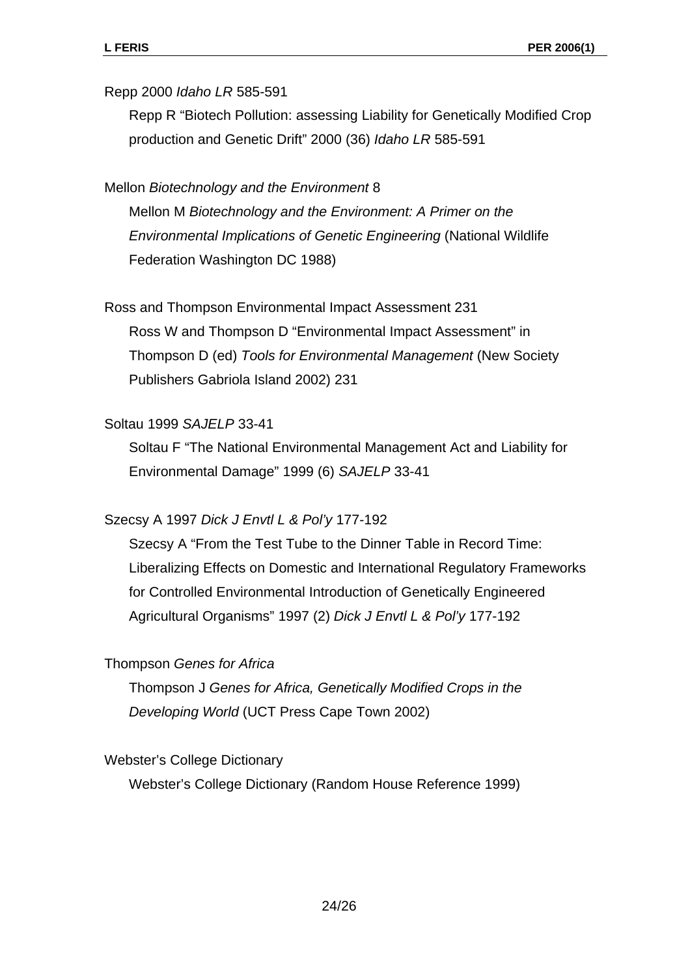#### Repp 2000 *Idaho LR* 585-591

Repp R "Biotech Pollution: assessing Liability for Genetically Modified Crop production and Genetic Drift" 2000 (36) *Idaho LR* 585-591

#### Mellon *Biotechnology and the Environment* 8

Mellon M *Biotechnology and the Environment: A Primer on the Environmental Implications of Genetic Engineering* (National Wildlife Federation Washington DC 1988)

#### Ross and Thompson Environmental Impact Assessment 231

Ross W and Thompson D "Environmental Impact Assessment" in Thompson D (ed) *Tools for Environmental Management* (New Society Publishers Gabriola Island 2002) 231

#### Soltau 1999 *SAJELP* 33-41

Soltau F "The National Environmental Management Act and Liability for Environmental Damage" 1999 (6) *SAJELP* 33-41

#### Szecsy A 1997 *Dick J Envtl L & Pol'y* 177-192

Szecsy A "From the Test Tube to the Dinner Table in Record Time: Liberalizing Effects on Domestic and International Regulatory Frameworks for Controlled Environmental Introduction of Genetically Engineered Agricultural Organisms" 1997 (2) *Dick J Envtl L & Pol'y* 177-192

#### Thompson *Genes for Africa*

Thompson J *Genes for Africa, Genetically Modified Crops in the Developing World* (UCT Press Cape Town 2002)

#### Webster's College Dictionary

Webster's College Dictionary (Random House Reference 1999)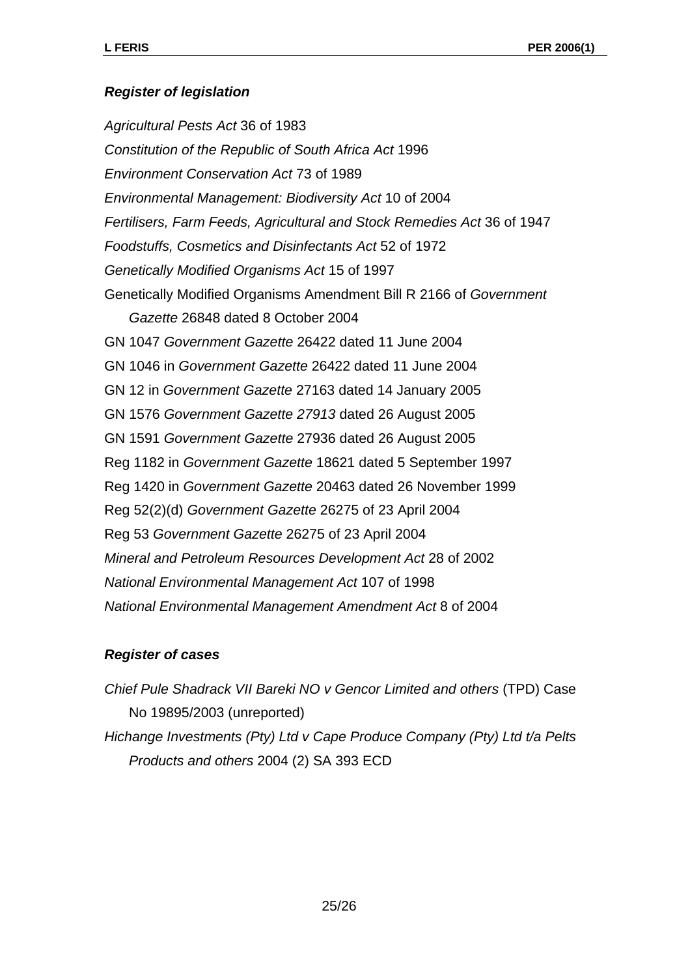## *Register of legislation*

*Agricultural Pests Act* 36 of 1983 *Constitution of the Republic of South Africa Act* 1996 *Environment Conservation Act* 73 of 1989 *Environmental Management: Biodiversity Act* 10 of 2004 *Fertilisers, Farm Feeds, Agricultural and Stock Remedies Act* 36 of 1947 *Foodstuffs, Cosmetics and Disinfectants Act* 52 of 1972 *Genetically Modified Organisms Act* 15 of 1997 Genetically Modified Organisms Amendment Bill R 2166 of *Government Gazette* 26848 dated 8 October 2004 GN 1047 *Government Gazette* 26422 dated 11 June 2004 GN 1046 in *Government Gazette* 26422 dated 11 June 2004 GN 12 in *Government Gazette* 27163 dated 14 January 2005 GN 1576 *Government Gazette 27913* dated 26 August 2005 GN 1591 *Government Gazette* 27936 dated 26 August 2005 Reg 1182 in *Government Gazette* 18621 dated 5 September 1997 Reg 1420 in *Government Gazette* 20463 dated 26 November 1999 Reg 52(2)(d) *Government Gazette* 26275 of 23 April 2004 Reg 53 *Government Gazette* 26275 of 23 April 2004 *Mineral and Petroleum Resources Development Act* 28 of 2002 *National Environmental Management Act* 107 of 1998 *National Environmental Management Amendment Act* 8 of 2004

## *Register of cases*

*Chief Pule Shadrack VII Bareki NO v Gencor Limited and others* (TPD) Case No 19895/2003 (unreported) *Hichange Investments (Pty) Ltd v Cape Produce Company (Pty) Ltd t/a Pelts Products and others* 2004 (2) SA 393 ECD